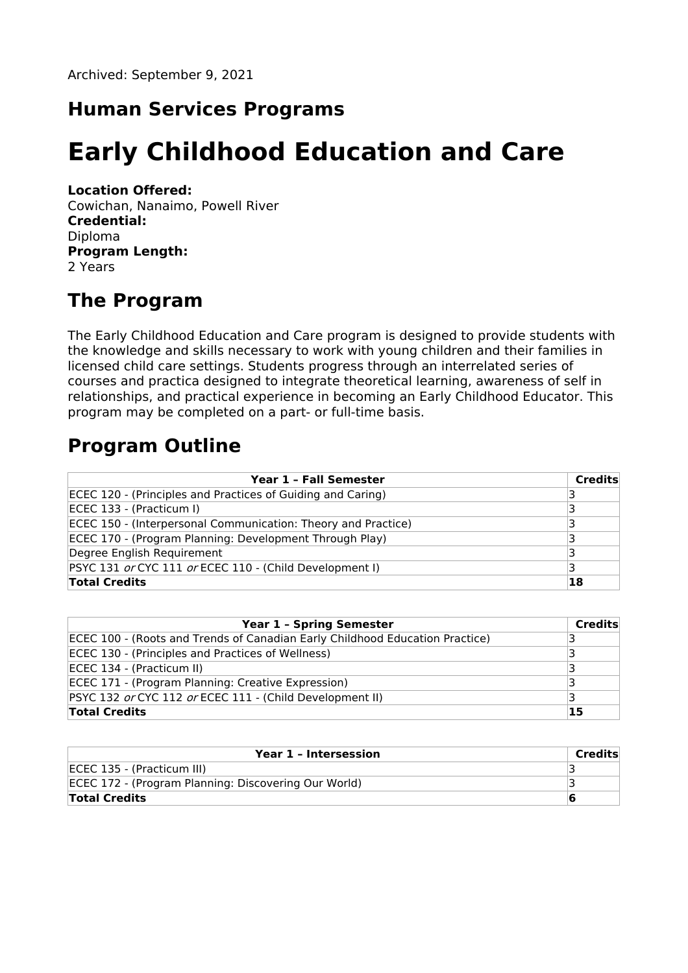Archived: September 9, 2021

### **Human Services Programs**

# **Early Childhood Education and Care**

#### **Location Offered:**

Cowichan, Nanaimo, Powell River **Credential:** Diploma **Program Length:** 2 Years

### **The Program**

The Early Childhood Education and Care program is designed to provide students with the knowledge and skills necessary to work with young children and their families in licensed child care settings. Students progress through an interrelated series of courses and practica designed to integrate theoretical learning, awareness of self in relationships, and practical experience in becoming an Early Childhood Educator. This program may be completed on a part- or full-time basis.

# **Program Outline**

| Year 1 - Fall Semester                                        | <b>Credits</b> |
|---------------------------------------------------------------|----------------|
| ECEC 120 - (Principles and Practices of Guiding and Caring)   |                |
| ECEC 133 - (Practicum I)                                      |                |
| ECEC 150 - (Interpersonal Communication: Theory and Practice) | ₹              |
| ECEC 170 - (Program Planning: Development Through Play)       |                |
| Degree English Requirement                                    |                |
| PSYC 131 or CYC 111 or ECEC 110 - (Child Development I)       |                |
| <b>Total Credits</b>                                          | 18             |

| <b>Year 1 - Spring Semester</b>                                              | <b>Credits</b> |
|------------------------------------------------------------------------------|----------------|
| ECEC 100 - (Roots and Trends of Canadian Early Childhood Education Practice) |                |
| ECEC 130 - (Principles and Practices of Wellness)                            |                |
| ECEC 134 - (Practicum II)                                                    |                |
| ECEC 171 - (Program Planning: Creative Expression)                           |                |
| PSYC 132 or CYC 112 or ECEC 111 - (Child Development II)                     |                |
| <b>Total Credits</b>                                                         | 15             |

| Year 1 - Intersession                                | Credits |
|------------------------------------------------------|---------|
| ECEC 135 - (Practicum III)                           |         |
| ECEC 172 - (Program Planning: Discovering Our World) |         |
| <b>Total Credits</b>                                 | ю       |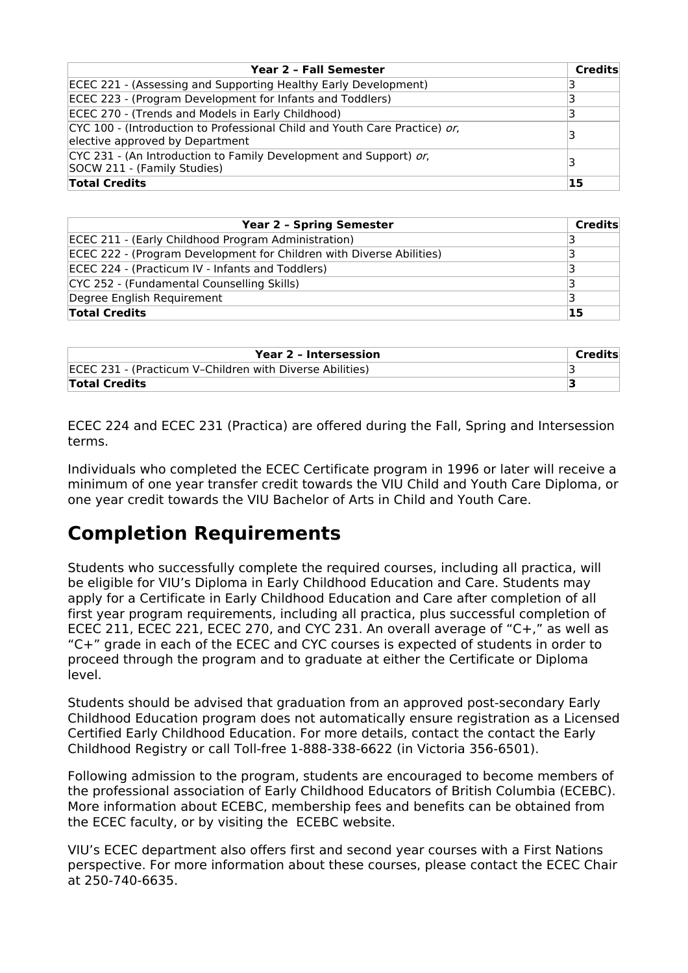| Year 2 - Fall Semester                                                                                        | <b>Credits</b> |
|---------------------------------------------------------------------------------------------------------------|----------------|
| ECEC 221 - (Assessing and Supporting Healthy Early Development)                                               |                |
| ECEC 223 - (Program Development for Infants and Toddlers)                                                     |                |
| ECEC 270 - (Trends and Models in Early Childhood)                                                             | 3              |
| CYC 100 - (Introduction to Professional Child and Youth Care Practice) or,<br>elective approved by Department | 3              |
| CYC 231 - (An Introduction to Family Development and Support) or,<br>SOCW 211 - (Family Studies)              | 3              |
| <b>Total Credits</b>                                                                                          | 15             |

| <b>Year 2 - Spring Semester</b>                                      | Credits |
|----------------------------------------------------------------------|---------|
| ECEC 211 - (Early Childhood Program Administration)                  |         |
| ECEC 222 - (Program Development for Children with Diverse Abilities) |         |
| ECEC 224 - (Practicum IV - Infants and Toddlers)                     |         |
| CYC 252 - (Fundamental Counselling Skills)                           |         |
| Degree English Requirement                                           |         |
| <b>Total Credits</b>                                                 | 15      |

| Year 2 - Intersession                                    | Credits |
|----------------------------------------------------------|---------|
| ECEC 231 - (Practicum V-Children with Diverse Abilities) |         |
| <b>Total Credits</b>                                     |         |

ECEC 224 and ECEC 231 (Practica) are offered during the Fall, Spring and Intersession terms.

Individuals who completed the ECEC Certificate program in 1996 or later will receive a minimum of one year transfer credit towards the VIU Child and Youth Care Diploma, or one year credit towards the VIU Bachelor of Arts in Child and Youth Care.

# **Completion Requirements**

Students who successfully complete the required courses, including all practica, will be eligible for VIU's Diploma in Early Childhood Education and Care. Students may apply for a Certificate in Early Childhood Education and Care after completion of all first year program requirements, including all practica, plus successful completion of ECEC 211, ECEC 221, ECEC 270, and CYC 231. An overall average of "C+," as well as "C+" grade in each of the ECEC and CYC courses is expected of students in order to proceed through the program and to graduate at either the Certificate or Diploma level.

Students should be advised that graduation from an approved post-secondary Early Childhood Education program does not automatically ensure registration as a Licensed Certified Early Childhood Education. For more details, contact the contact the Early Childhood Registry or call Toll-free 1-888-338-6622 (in Victoria 356-6501).

Following admission to the program, students are encouraged to become members of the professional association of Early Childhood Educators of British Columbia (ECEBC). More information about ECEBC, membership fees and benefits can be obtained from the ECEC faculty, or by visiting the ECEBC website.

VIU's ECEC department also offers first and second year courses with a First Nations perspective. For more information about these courses, please contact the ECEC Chair at 250-740-6635.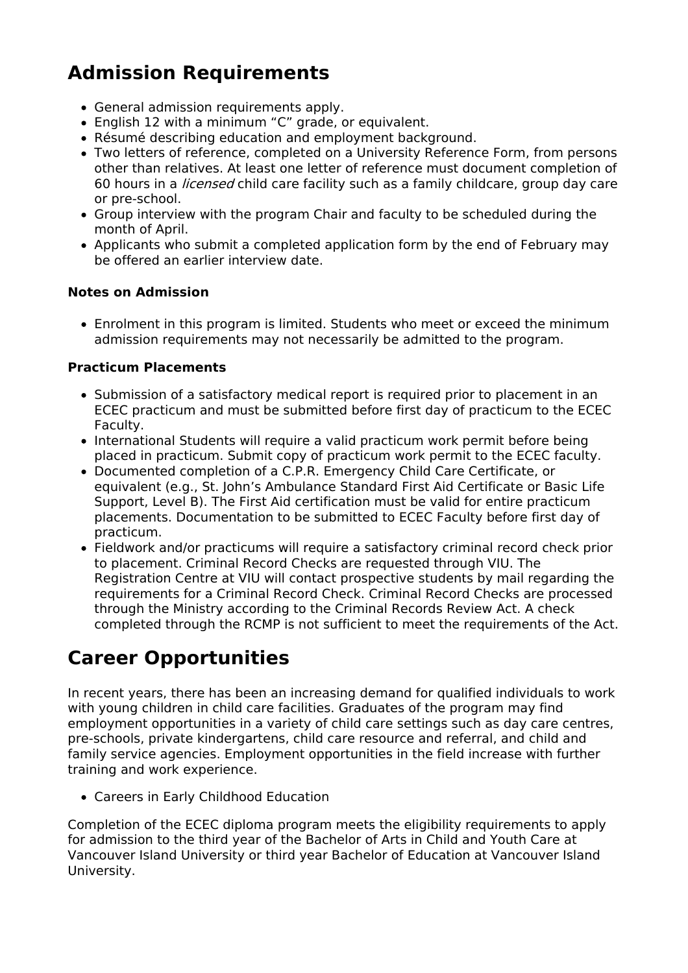# **Admission Requirements**

- General admission requirements apply.
- English 12 with a minimum "C" grade, or equivalent.
- Résumé describing education and employment background.
- Two letters of reference, completed on a University Reference Form, from persons other than relatives. At least one letter of reference must document completion of 60 hours in a licensed child care facility such as a family childcare, group day care or pre-school.
- Group interview with the program Chair and faculty to be scheduled during the month of April.
- Applicants who submit a completed application form by the end of February may be offered an earlier interview date.

### **Notes on Admission**

Enrolment in this program is limited. Students who meet or exceed the minimum admission requirements may not necessarily be admitted to the program.

### **Practicum Placements**

- Submission of a satisfactory medical report is required prior to placement in an ECEC practicum and must be submitted before first day of practicum to the ECEC Faculty.
- International Students will require a valid practicum work permit before being placed in practicum. Submit copy of practicum work permit to the ECEC faculty.
- Documented completion of a C.P.R. Emergency Child Care Certificate, or equivalent (e.g., St. John's Ambulance Standard First Aid Certificate or Basic Life Support, Level B). The First Aid certification must be valid for entire practicum placements. Documentation to be submitted to ECEC Faculty before first day of practicum.
- Fieldwork and/or practicums will require a satisfactory criminal record check prior to placement. Criminal Record Checks are requested through VIU. The Registration Centre at VIU will contact prospective students by mail regarding the requirements for a Criminal Record Check. Criminal Record Checks are processed through the Ministry according to the Criminal Records Review Act. A check completed through the RCMP is not sufficient to meet the requirements of the Act.

# **Career Opportunities**

In recent years, there has been an increasing demand for qualified individuals to work with young children in child care facilities. Graduates of the program may find employment opportunities in a variety of child care settings such as day care centres, pre-schools, private kindergartens, child care resource and referral, and child and family service agencies. Employment opportunities in the field increase with further training and work experience.

Careers in Early Childhood Education

Completion of the ECEC diploma program meets the eligibility requirements to apply for admission to the third year of the Bachelor of Arts in Child and Youth Care at Vancouver Island University or third year Bachelor of Education at Vancouver Island University.